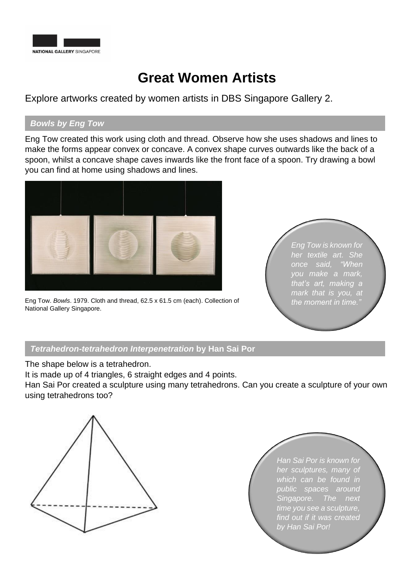

## **Great Women Artists**

Explore artworks created by women artists in DBS Singapore Gallery 2.

## *Bowls by Eng Tow*

Eng Tow created this work using cloth and thread. Observe how she uses shadows and lines to make the forms appear convex or concave. A convex shape curves outwards like the back of a spoon, whilst a concave shape caves inwards like the front face of a spoon. Try drawing a bowl you can find at home using shadows and lines.



Eng Tow. *Bowls*. 1979. Cloth and thread, 62.5 x 61.5 cm (each). Collection of National Gallery Singapore.

*Eng Tow is known for her textile art. She once said, "When you make a mark, that's art, making a mark that is you, at the moment in time."*

## *Tetrahedron-tetrahedron Interpenetration* **by Han Sai Por**

The shape below is a tetrahedron.

It is made up of 4 triangles, 6 straight edges and 4 points.

Han Sai Por created a sculpture using many tetrahedrons. Can you create a sculpture of your own using tetrahedrons too?



*Han Sai Por is known for her sculptures, many of which can be found in public spaces around Singapore. The next time you see a sculpture, find out if it was created by Han Sai Por!*